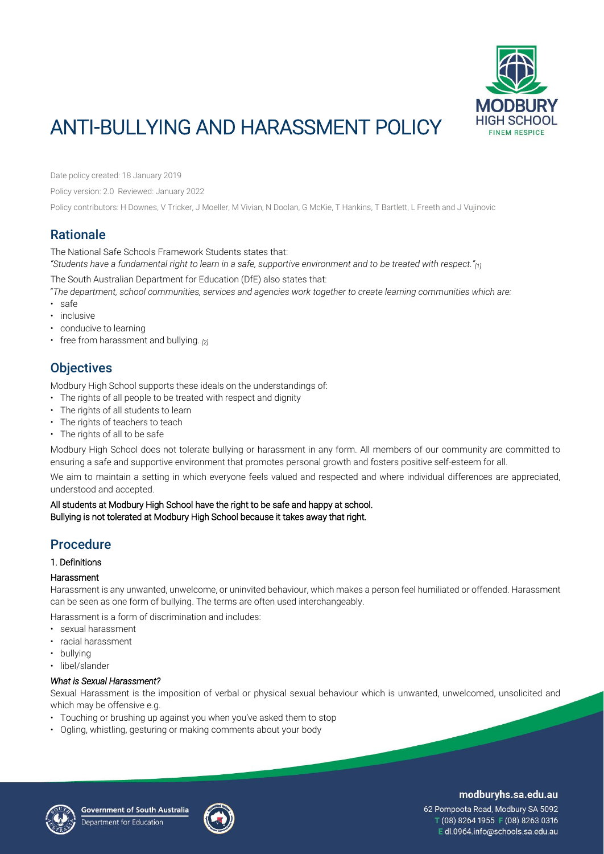

# ANTI-BULLYING AND HARASSMENT POLICY

Date policy created: 18 January 2019

Policy version: 2.0 Reviewed: January 2022

Policy contributors: H Downes, V Tricker, J Moeller, M Vivian, N Doolan, G McKie, T Hankins, T Bartlett, L Freeth and J Vujinovic

# **Rationale**

The National Safe Schools Framework Students states that:

*"Students have a fundamental right to learn in a safe, supportive environment and to be treated with respect."[1]*

The South Australian Department for Education (DfE) also states that:

"*The department, school communities, services and agencies work together to create learning communities which are:*

- safe
- inclusive
- conducive to learning
- free from harassment and bullying. *[2]*

# **Objectives**

Modbury High School supports these ideals on the understandings of:

- The rights of all people to be treated with respect and dignity
- The rights of all students to learn
- The rights of teachers to teach
- The rights of all to be safe

Modbury High School does not tolerate bullying or harassment in any form. All members of our community are committed to ensuring a safe and supportive environment that promotes personal growth and fosters positive self-esteem for all.

We aim to maintain a setting in which everyone feels valued and respected and where individual differences are appreciated, understood and accepted.

All students at Modbury High School have the right to be safe and happy at school. Bullying is not tolerated at Modbury High School because it takes away that right.

# Procedure

# 1. Definitions

# Harassment

Harassment is any unwanted, unwelcome, or uninvited behaviour, which makes a person feel humiliated or offended. Harassment can be seen as one form of bullying. The terms are often used interchangeably.

Harassment is a form of discrimination and includes:

- sexual harassment
- racial harassment
- bullying
- libel/slander

#### *What is Sexual Harassment?*

Sexual Harassment is the imposition of verbal or physical sexual behaviour which is unwanted, unwelcomed, unsolicited and which may be offensive e.g.

- Touching or brushing up against you when you've asked them to stop
- Ogling, whistling, gesturing or making comments about your body





# modburyhs.sa.edu.au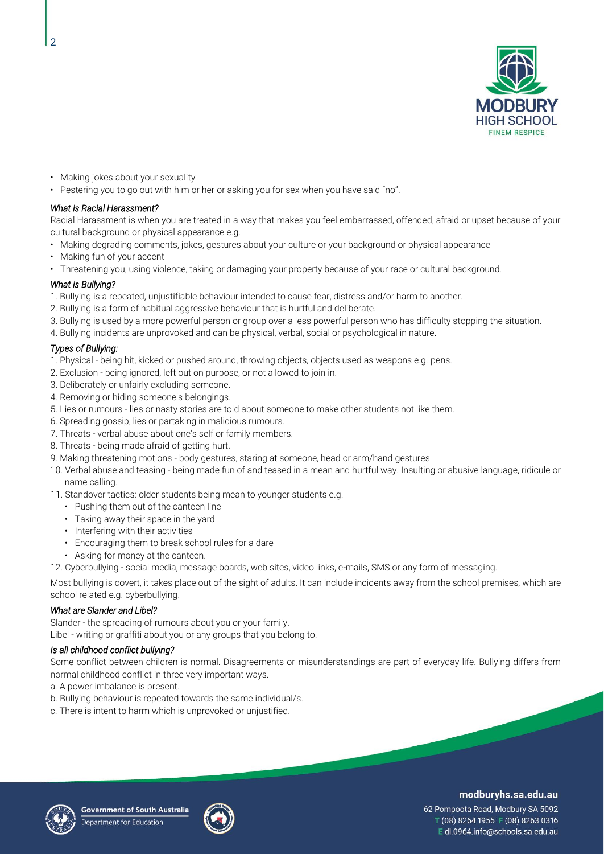

- Making jokes about your sexuality
- Pestering you to go out with him or her or asking you for sex when you have said "no".

#### *What is Racial Harassment?*

Racial Harassment is when you are treated in a way that makes you feel embarrassed, offended, afraid or upset because of your cultural background or physical appearance e.g.

- Making degrading comments, jokes, gestures about your culture or your background or physical appearance
- Making fun of your accent
- Threatening you, using violence, taking or damaging your property because of your race or cultural background.

### *What is Bullying?*

- 1. Bullying is a repeated, unjustifiable behaviour intended to cause fear, distress and/or harm to another.
- 2. Bullying is a form of habitual aggressive behaviour that is hurtful and deliberate.
- 3. Bullying is used by a more powerful person or group over a less powerful person who has difficulty stopping the situation.
- 4. Bullying incidents are unprovoked and can be physical, verbal, social or psychological in nature.

# *Types of Bullying:*

- 1. Physical being hit, kicked or pushed around, throwing objects, objects used as weapons e.g. pens.
- 2. Exclusion being ignored, left out on purpose, or not allowed to join in.
- 3. Deliberately or unfairly excluding someone.
- 4. Removing or hiding someone's belongings.
- 5. Lies or rumours lies or nasty stories are told about someone to make other students not like them.
- 6. Spreading gossip, lies or partaking in malicious rumours.
- 7. Threats verbal abuse about one's self or family members.
- 8. Threats being made afraid of getting hurt.
- 9. Making threatening motions body gestures, staring at someone, head or arm/hand gestures.
- 10. Verbal abuse and teasing being made fun of and teased in a mean and hurtful way. Insulting or abusive language, ridicule or name calling.
- 11. Standover tactics: older students being mean to younger students e.g.
	- Pushing them out of the canteen line
	- Taking away their space in the yard
	- Interfering with their activities
	- Encouraging them to break school rules for a dare
	- Asking for money at the canteen.

12. Cyberbullying - social media, message boards, web sites, video links, e-mails, SMS or any form of messaging.

Most bullying is covert, it takes place out of the sight of adults. It can include incidents away from the school premises, which are school related e.g. cyberbullying.

#### *What are Slander and Libel?*

Slander - the spreading of rumours about you or your family. Libel - writing or graffiti about you or any groups that you belong to.

# *Is all childhood conflict bullying?*

Some conflict between children is normal. Disagreements or misunderstandings are part of everyday life. Bullying differs from normal childhood conflict in three very important ways.

a. A power imbalance is present.

- b. Bullying behaviour is repeated towards the same individual/s.
- c. There is intent to harm which is unprovoked or unjustified.





# modburyhs.sa.edu.au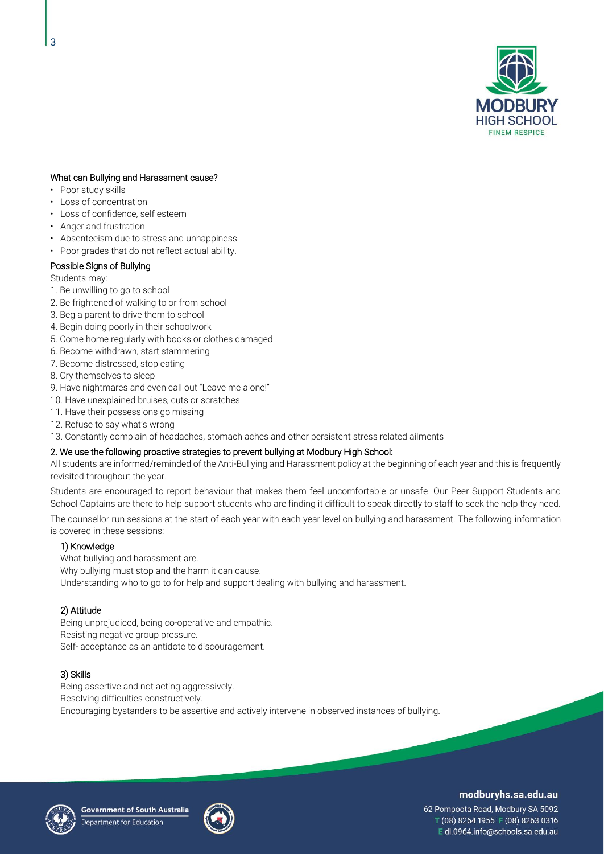

#### What can Bullying and Harassment cause?

- Poor study skills
- Loss of concentration
- Loss of confidence, self esteem
- Anger and frustration
- Absenteeism due to stress and unhappiness
- Poor grades that do not reflect actual ability.

# Possible Signs of Bullying

Students may:

- 1. Be unwilling to go to school
- 2. Be frightened of walking to or from school
- 3. Beg a parent to drive them to school
- 4. Begin doing poorly in their schoolwork
- 5. Come home regularly with books or clothes damaged
- 6. Become withdrawn, start stammering
- 7. Become distressed, stop eating
- 8. Cry themselves to sleep
- 9. Have nightmares and even call out "Leave me alone!"
- 10. Have unexplained bruises, cuts or scratches
- 11. Have their possessions go missing
- 12. Refuse to say what's wrong
- 13. Constantly complain of headaches, stomach aches and other persistent stress related ailments

#### 2. We use the following proactive strategies to prevent bullying at Modbury High School:

All students are informed/reminded of the Anti-Bullying and Harassment policy at the beginning of each year and this is frequently revisited throughout the year.

Students are encouraged to report behaviour that makes them feel uncomfortable or unsafe. Our Peer Support Students and School Captains are there to help support students who are finding it difficult to speak directly to staff to seek the help they need.

The counsellor run sessions at the start of each year with each year level on bullying and harassment. The following information is covered in these sessions:

#### 1) Knowledge

What bullying and harassment are. Why bullying must stop and the harm it can cause. Understanding who to go to for help and support dealing with bullying and harassment.

# 2) Attitude

Being unprejudiced, being co-operative and empathic. Resisting negative group pressure. Self- acceptance as an antidote to discouragement.

#### 3) Skills

Being assertive and not acting aggressively. Resolving difficulties constructively. Encouraging bystanders to be assertive and actively intervene in observed instances of bullying.





### modburyhs.sa.edu.au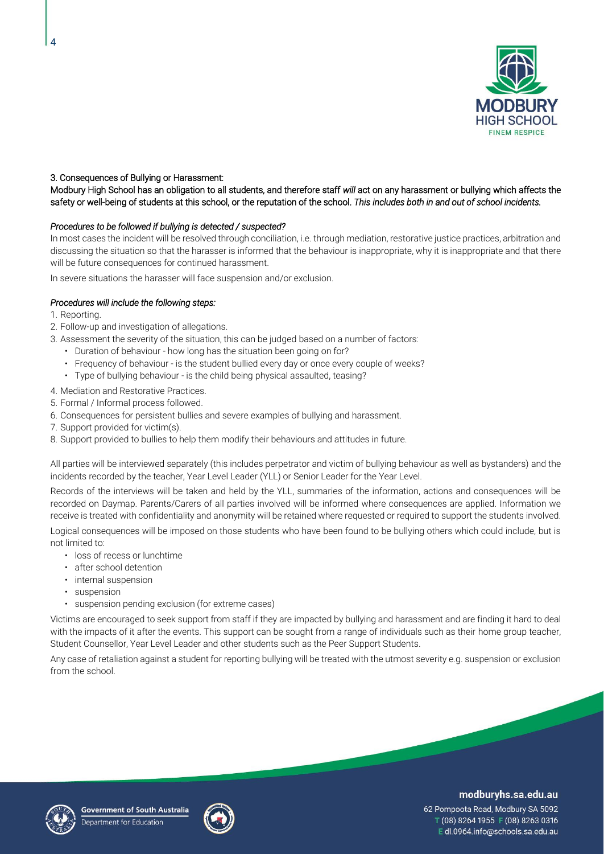

## 3. Consequences of Bullying or Harassment:

Modbury High School has an obligation to all students, and therefore staff *will* act on any harassment or bullying which affects the safety or well-being of students at this school, or the reputation of the school. *This includes both in and out of school incidents.* 

#### *Procedures to be followed if bullying is detected / suspected?*

In most cases the incident will be resolved through conciliation, i.e. through mediation, restorative justice practices, arbitration and discussing the situation so that the harasser is informed that the behaviour is inappropriate, why it is inappropriate and that there will be future consequences for continued harassment.

In severe situations the harasser will face suspension and/or exclusion.

#### *Procedures will include the following steps:*

- 1. Reporting.
- 2. Follow-up and investigation of allegations.
- 3. Assessment the severity of the situation, this can be judged based on a number of factors:
	- Duration of behaviour how long has the situation been going on for?
		- Frequency of behaviour is the student bullied every day or once every couple of weeks?
	- Type of bullying behaviour is the child being physical assaulted, teasing?
- 4. Mediation and Restorative Practices.
- 5. Formal / Informal process followed.
- 6. Consequences for persistent bullies and severe examples of bullying and harassment.
- 7. Support provided for victim(s).
- 8. Support provided to bullies to help them modify their behaviours and attitudes in future.

All parties will be interviewed separately (this includes perpetrator and victim of bullying behaviour as well as bystanders) and the incidents recorded by the teacher, Year Level Leader (YLL) or Senior Leader for the Year Level.

Records of the interviews will be taken and held by the YLL, summaries of the information, actions and consequences will be recorded on Daymap. Parents/Carers of all parties involved will be informed where consequences are applied. Information we receive is treated with confidentiality and anonymity will be retained where requested or required to support the students involved.

Logical consequences will be imposed on those students who have been found to be bullying others which could include, but is not limited to:

- loss of recess or lunchtime
- after school detention
- internal suspension
- suspension
- suspension pending exclusion (for extreme cases)

Victims are encouraged to seek support from staff if they are impacted by bullying and harassment and are finding it hard to deal with the impacts of it after the events. This support can be sought from a range of individuals such as their home group teacher, Student Counsellor, Year Level Leader and other students such as the Peer Support Students.

Any case of retaliation against a student for reporting bullying will be treated with the utmost severity e.g. suspension or exclusion from the school.





modburyhs.sa.edu.au